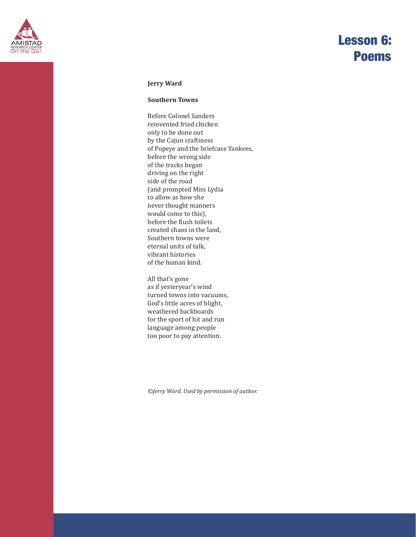

## **Jerry Ward**

## **Southern Towns**

Before Colonel Sanders reinvented fried chicken only to be done out by the Cajun craftiness of Popeye and the briefcase Yankees, before the wrong side of the tracks began driving on the right side of the road (and prompted Miss Lydia to allow as how she never thought manners would come to this), before the flush toilets created chaos in the land, Southern towns were eternal units of talk, vibrant histories of the human kind.

All that's gone as if yesteryear's wind turned towns into vacuums, God's little acres of blight, weathered backboards for the sport of hit and run language among people too poor to pay attention.

*©Jerry Ward. Used by permission of author.*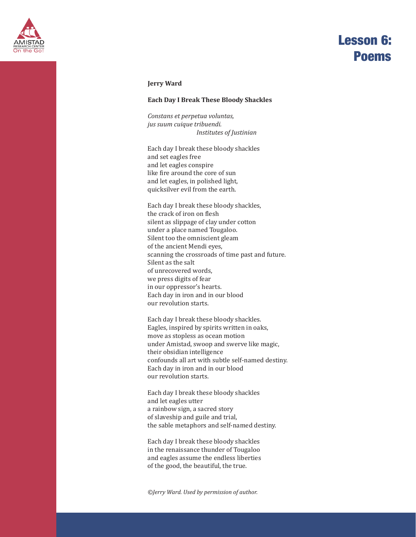

### **Jerry Ward**

#### **Each Day I Break These Bloody Shackles**

*Constans et perpetua voluntas, jus suum cuique tribuendi. Institutes of Justinian* 

Each day I break these bloody shackles and set eagles free and let eagles conspire like fire around the core of sun and let eagles, in polished light, quicksilver evil from the earth.

Each day I break these bloody shackles, the crack of iron on flesh silent as slippage of clay under cotton under a place named Tougaloo. Silent too the omniscient gleam of the ancient Mendi eyes, scanning the crossroads of time past and future. Silent as the salt of unrecovered words, we press digits of fear in our oppressor's hearts. Each day in iron and in our blood our revolution starts.

Each day I break these bloody shackles. Eagles, inspired by spirits written in oaks, move as stopless as ocean motion under Amistad, swoop and swerve like magic, their obsidian intelligence confounds all art with subtle self-named destiny. Each day in iron and in our blood our revolution starts.

Each day I break these bloody shackles and let eagles utter a rainbow sign, a sacred story of slaveship and guile and trial, the sable metaphors and self-named destiny.

Each day I break these bloody shackles in the renaissance thunder of Tougaloo and eagles assume the endless liberties of the good, the beautiful, the true.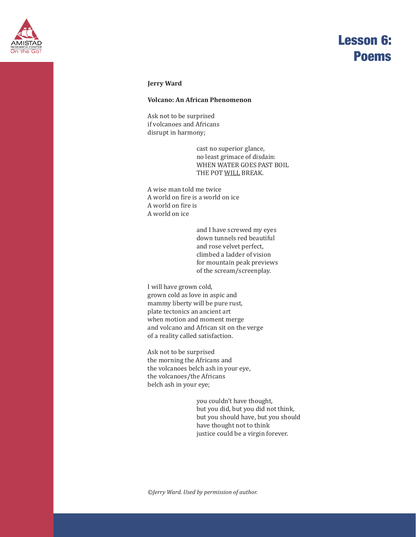

### **Jerry Ward**

#### **Volcano: An African Phenomenon**

Ask not to be surprised if volcanoes and Africans disrupt in harmony;

> cast no superior glance, no least grimace of disdain: WHEN WATER GOES PAST BOIL THE POT WILL BREAK.

A wise man told me twice A world on fire is a world on ice A world on fire is A world on ice

> and I have screwed my eyes down tunnels red beautiful and rose velvet perfect, climbed a ladder of vision for mountain peak previews of the scream/screenplay.

I will have grown cold, grown cold as love in aspic and mammy liberty will be pure rust, plate tectonics an ancient art when motion and moment merge and volcano and African sit on the verge of a reality called satisfaction.

Ask not to be surprised the morning the Africans and the volcanoes belch ash in your eye, the volcanoes/the Africans belch ash in your eye;

> you couldn't have thought, but you did, but you did not think, but you should have, but you should have thought not to think justice could be a virgin forever.